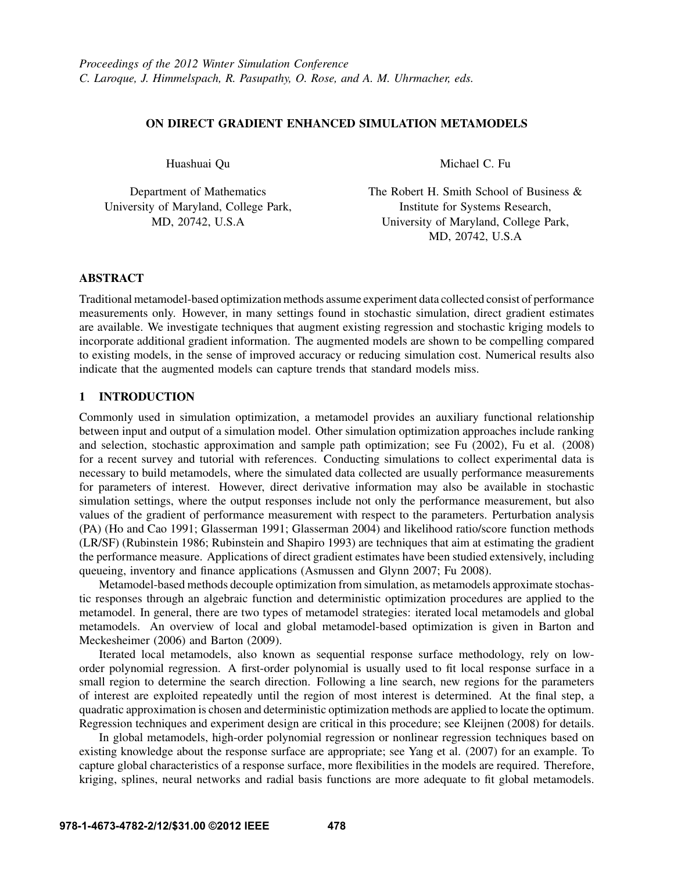# ON DIRECT GRADIENT ENHANCED SIMULATION METAMODELS

Huashuai Qu

Department of Mathematics University of Maryland, College Park, MD, 20742, U.S.A

Michael C. Fu

The Robert H. Smith School of Business & Institute for Systems Research, University of Maryland, College Park, MD, 20742, U.S.A

# ABSTRACT

Traditional metamodel-based optimization methods assume experiment data collected consist of performance measurements only. However, in many settings found in stochastic simulation, direct gradient estimates are available. We investigate techniques that augment existing regression and stochastic kriging models to incorporate additional gradient information. The augmented models are shown to be compelling compared to existing models, in the sense of improved accuracy or reducing simulation cost. Numerical results also indicate that the augmented models can capture trends that standard models miss.

# 1 INTRODUCTION

Commonly used in simulation optimization, a metamodel provides an auxiliary functional relationship between input and output of a simulation model. Other simulation optimization approaches include ranking and selection, stochastic approximation and sample path optimization; see Fu (2002), Fu et al. (2008) for a recent survey and tutorial with references. Conducting simulations to collect experimental data is necessary to build metamodels, where the simulated data collected are usually performance measurements for parameters of interest. However, direct derivative information may also be available in stochastic simulation settings, where the output responses include not only the performance measurement, but also values of the gradient of performance measurement with respect to the parameters. Perturbation analysis (PA) (Ho and Cao 1991; Glasserman 1991; Glasserman 2004) and likelihood ratio/score function methods (LR/SF) (Rubinstein 1986; Rubinstein and Shapiro 1993) are techniques that aim at estimating the gradient the performance measure. Applications of direct gradient estimates have been studied extensively, including queueing, inventory and finance applications (Asmussen and Glynn 2007; Fu 2008).

Metamodel-based methods decouple optimization from simulation, as metamodels approximate stochastic responses through an algebraic function and deterministic optimization procedures are applied to the metamodel. In general, there are two types of metamodel strategies: iterated local metamodels and global metamodels. An overview of local and global metamodel-based optimization is given in Barton and Meckesheimer (2006) and Barton (2009).

Iterated local metamodels, also known as sequential response surface methodology, rely on loworder polynomial regression. A first-order polynomial is usually used to fit local response surface in a small region to determine the search direction. Following a line search, new regions for the parameters of interest are exploited repeatedly until the region of most interest is determined. At the final step, a quadratic approximation is chosen and deterministic optimization methods are applied to locate the optimum. Regression techniques and experiment design are critical in this procedure; see Kleijnen (2008) for details.

In global metamodels, high-order polynomial regression or nonlinear regression techniques based on existing knowledge about the response surface are appropriate; see Yang et al. (2007) for an example. To capture global characteristics of a response surface, more flexibilities in the models are required. Therefore, kriging, splines, neural networks and radial basis functions are more adequate to fit global metamodels.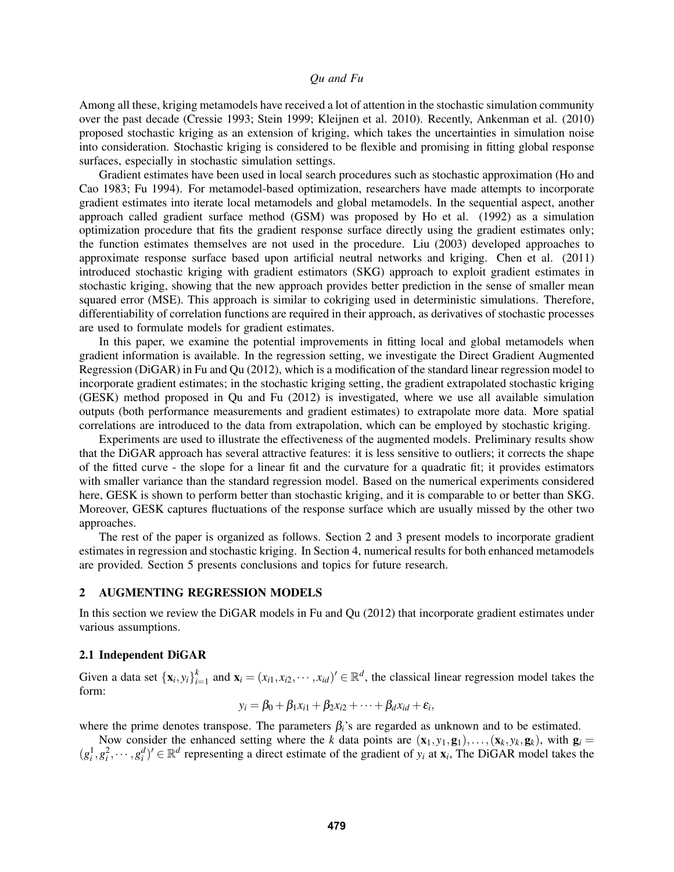Among all these, kriging metamodels have received a lot of attention in the stochastic simulation community over the past decade (Cressie 1993; Stein 1999; Kleijnen et al. 2010). Recently, Ankenman et al. (2010) proposed stochastic kriging as an extension of kriging, which takes the uncertainties in simulation noise into consideration. Stochastic kriging is considered to be flexible and promising in fitting global response surfaces, especially in stochastic simulation settings.

Gradient estimates have been used in local search procedures such as stochastic approximation (Ho and Cao 1983; Fu 1994). For metamodel-based optimization, researchers have made attempts to incorporate gradient estimates into iterate local metamodels and global metamodels. In the sequential aspect, another approach called gradient surface method (GSM) was proposed by Ho et al. (1992) as a simulation optimization procedure that fits the gradient response surface directly using the gradient estimates only; the function estimates themselves are not used in the procedure. Liu (2003) developed approaches to approximate response surface based upon artificial neutral networks and kriging. Chen et al. (2011) introduced stochastic kriging with gradient estimators (SKG) approach to exploit gradient estimates in stochastic kriging, showing that the new approach provides better prediction in the sense of smaller mean squared error (MSE). This approach is similar to cokriging used in deterministic simulations. Therefore, differentiability of correlation functions are required in their approach, as derivatives of stochastic processes are used to formulate models for gradient estimates.

In this paper, we examine the potential improvements in fitting local and global metamodels when gradient information is available. In the regression setting, we investigate the Direct Gradient Augmented Regression (DiGAR) in Fu and Qu (2012), which is a modification of the standard linear regression model to incorporate gradient estimates; in the stochastic kriging setting, the gradient extrapolated stochastic kriging (GESK) method proposed in Qu and Fu (2012) is investigated, where we use all available simulation outputs (both performance measurements and gradient estimates) to extrapolate more data. More spatial correlations are introduced to the data from extrapolation, which can be employed by stochastic kriging.

Experiments are used to illustrate the effectiveness of the augmented models. Preliminary results show that the DiGAR approach has several attractive features: it is less sensitive to outliers; it corrects the shape of the fitted curve - the slope for a linear fit and the curvature for a quadratic fit; it provides estimators with smaller variance than the standard regression model. Based on the numerical experiments considered here, GESK is shown to perform better than stochastic kriging, and it is comparable to or better than SKG. Moreover, GESK captures fluctuations of the response surface which are usually missed by the other two approaches.

The rest of the paper is organized as follows. Section 2 and 3 present models to incorporate gradient estimates in regression and stochastic kriging. In Section 4, numerical results for both enhanced metamodels are provided. Section 5 presents conclusions and topics for future research.

# 2 AUGMENTING REGRESSION MODELS

In this section we review the DiGAR models in Fu and Qu (2012) that incorporate gradient estimates under various assumptions.

## 2.1 Independent DiGAR

Given a data set  $\{\mathbf x_i, y_i\}_{i=1}^k$  $x_{i=1}^k$  and  $\mathbf{x}_i = (x_{i1}, x_{i2}, \dots, x_{id})' \in \mathbb{R}^d$ , the classical linear regression model takes the form:

$$
y_i = \beta_0 + \beta_1 x_{i1} + \beta_2 x_{i2} + \cdots + \beta_d x_{id} + \varepsilon_i,
$$

where the prime denotes transpose. The parameters  $\beta_i$ 's are regarded as unknown and to be estimated.

Now consider the enhanced setting where the *k* data points are  $(\mathbf{x}_1, y_1, \mathbf{g}_1), \ldots, (\mathbf{x}_k, y_k, \mathbf{g}_k)$ , with  $\mathbf{g}_i =$  $(g_i^1, g_i^2, \dots, g_i^d)' \in \mathbb{R}^d$  representing a direct estimate of the gradient of  $y_i$  at  $\mathbf{x}_i$ , The DiGAR model takes the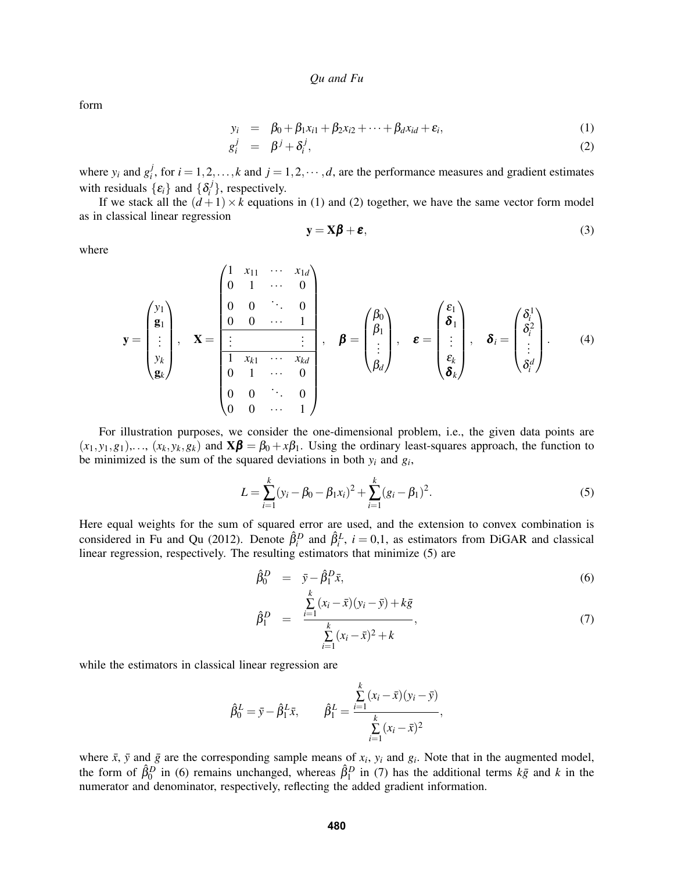form

$$
y_i = \beta_0 + \beta_1 x_{i1} + \beta_2 x_{i2} + \dots + \beta_d x_{id} + \varepsilon_i, \tag{1}
$$

$$
g_i^j = \beta^j + \delta_i^j, \tag{2}
$$

where  $y_i$  and  $g_i^j$  $i_j$ , for  $i = 1, 2, \dots, k$  and  $j = 1, 2, \dots, d$ , are the performance measures and gradient estimates with residuals  $\{\varepsilon_i\}$  and  $\{\delta_i^j\}$  $\{i\}$ , respectively.

If we stack all the  $(d+1) \times k$  equations in (1) and (2) together, we have the same vector form model as in classical linear regression

$$
y = X\beta + \varepsilon, \tag{3}
$$

where

$$
\mathbf{y} = \begin{pmatrix} y_1 \\ \mathbf{g}_1 \\ \vdots \\ y_k \\ \mathbf{g}_k \end{pmatrix}, \quad \mathbf{X} = \begin{pmatrix} 1 & x_{11} & \cdots & x_{1d} \\ 0 & 1 & \cdots & 0 \\ 0 & 0 & \cdots & 1 \\ \vdots & & \vdots & \vdots \\ 1 & x_{k1} & \cdots & x_{kd} \\ 0 & 1 & \cdots & 0 \\ 0 & 0 & \cdots & 1 \end{pmatrix}, \quad \boldsymbol{\beta} = \begin{pmatrix} \beta_0 \\ \beta_1 \\ \vdots \\ \beta_d \end{pmatrix}, \quad \boldsymbol{\epsilon} = \begin{pmatrix} \epsilon_1 \\ \boldsymbol{\delta}_1 \\ \vdots \\ \epsilon_k \\ \boldsymbol{\delta}_k \end{pmatrix}, \quad \boldsymbol{\delta}_i = \begin{pmatrix} \delta_i^1 \\ \delta_i^2 \\ \vdots \\ \delta_i^d \end{pmatrix}.
$$
 (4)

For illustration purposes, we consider the one-dimensional problem, i.e., the given data points are  $(x_1, y_1, g_1), \ldots, (x_k, y_k, g_k)$  and  $\mathbf{X}\boldsymbol{\beta} = \beta_0 + x\beta_1$ . Using the ordinary least-squares approach, the function to be minimized is the sum of the squared deviations in both  $y_i$  and  $g_i$ ,

$$
L = \sum_{i=1}^{k} (y_i - \beta_0 - \beta_1 x_i)^2 + \sum_{i=1}^{k} (g_i - \beta_1)^2.
$$
 (5)

Here equal weights for the sum of squared error are used, and the extension to convex combination is considered in Fu and Qu (2012). Denote  $\hat{\beta}_i^D$  and  $\hat{\beta}_i^L$ ,  $i = 0,1$ , as estimators from DiGAR and classical linear regression, respectively. The resulting estimators that minimize (5) are

$$
\hat{\beta}_0^D = \bar{y} - \hat{\beta}_1^D \bar{x},\tag{6}
$$

$$
\hat{\beta}_1^D = \frac{\sum_{i=1}^k (x_i - \bar{x})(y_i - \bar{y}) + k\bar{g}}{\sum_{i=1}^k (x_i - \bar{x})^2 + k},
$$
\n(7)

while the estimators in classical linear regression are

$$
\hat{\beta}_0^L = \bar{y} - \hat{\beta}_1^L \bar{x}, \qquad \hat{\beta}_1^L = \frac{\sum_{i=1}^k (x_i - \bar{x})(y_i - \bar{y})}{\sum_{i=1}^k (x_i - \bar{x})^2},
$$

where  $\bar{x}$ ,  $\bar{y}$  and  $\bar{g}$  are the corresponding sample means of  $x_i$ ,  $y_i$  and  $g_i$ . Note that in the augmented model, the form of  $\hat{\beta}_0^D$  in (6) remains unchanged, whereas  $\hat{\beta}_1^D$  in (7) has the additional terms  $k\bar{g}$  and  $k$  in the numerator and denominator, respectively, reflecting the added gradient information.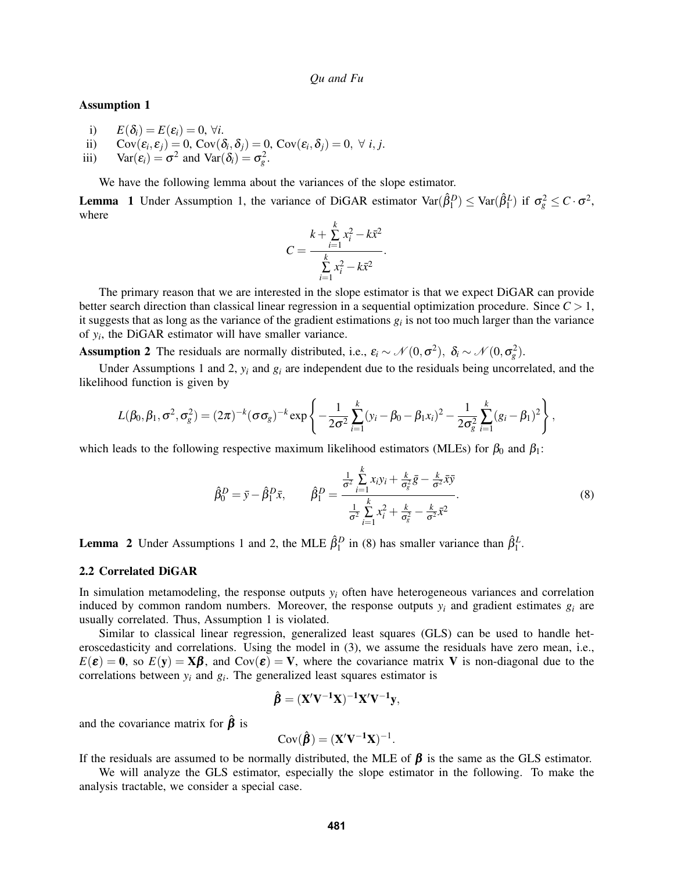### Assumption 1

- i)  $E(\delta_i) = E(\varepsilon_i) = 0, \forall i.$
- ii)  $Cov(\varepsilon_i, \varepsilon_j) = 0$ ,  $Cov(\delta_i, \delta_j) = 0$ ,  $Cov(\varepsilon_i, \delta_j) = 0$ ,  $\forall i, j$ .
- iii)  $Var(\varepsilon_i) = \sigma^2$  and  $Var(\delta_i) = \sigma_g^2$ .

We have the following lemma about the variances of the slope estimator.

**Lemma** 1 Under Assumption 1, the variance of DiGAR estimator  $\text{Var}(\hat{\beta}_1^D) \leq \text{Var}(\hat{\beta}_1^L)$  if  $\sigma_g^2 \leq C \cdot \sigma^2$ , where

$$
C = \frac{k + \sum_{i=1}^{k} x_i^2 - k\bar{x}^2}{\sum_{i=1}^{k} x_i^2 - k\bar{x}^2}.
$$

The primary reason that we are interested in the slope estimator is that we expect DiGAR can provide better search direction than classical linear regression in a sequential optimization procedure. Since *C* > 1, it suggests that as long as the variance of the gradient estimations  $g_i$  is not too much larger than the variance of *y<sup>i</sup>* , the DiGAR estimator will have smaller variance.

Assumption 2 The residuals are normally distributed, i.e.,  $\varepsilon_i \sim \mathcal{N}(0, \sigma^2)$ ,  $\delta_i \sim \mathcal{N}(0, \sigma_g^2)$ .

Under Assumptions 1 and 2,  $y_i$  and  $g_i$  are independent due to the residuals being uncorrelated, and the likelihood function is given by

$$
L(\beta_0, \beta_1, \sigma^2, \sigma_g^2) = (2\pi)^{-k} (\sigma \sigma_g)^{-k} \exp \left\{-\frac{1}{2\sigma^2} \sum_{i=1}^k (y_i - \beta_0 - \beta_1 x_i)^2 - \frac{1}{2\sigma_g^2} \sum_{i=1}^k (g_i - \beta_1)^2\right\},\,
$$

which leads to the following respective maximum likelihood estimators (MLEs) for  $\beta_0$  and  $\beta_1$ :

$$
\hat{\beta}_0^D = \bar{y} - \hat{\beta}_1^D \bar{x}, \qquad \hat{\beta}_1^D = \frac{\frac{1}{\sigma^2} \sum_{i=1}^k x_i y_i + \frac{k}{\sigma_s^2} \bar{g} - \frac{k}{\sigma^2} \bar{x} \bar{y}}{\frac{1}{\sigma^2} \sum_{i=1}^k x_i^2 + \frac{k}{\sigma_s^2} - \frac{k}{\sigma^2} \bar{x}^2}.
$$
\n(8)

**Lemma** 2 Under Assumptions 1 and 2, the MLE  $\hat{\beta}_1^D$  in (8) has smaller variance than  $\hat{\beta}_1^L$ .

## 2.2 Correlated DiGAR

In simulation metamodeling, the response outputs  $y_i$  often have heterogeneous variances and correlation induced by common random numbers. Moreover, the response outputs  $y_i$  and gradient estimates  $g_i$  are usually correlated. Thus, Assumption 1 is violated.

Similar to classical linear regression, generalized least squares (GLS) can be used to handle heteroscedasticity and correlations. Using the model in (3), we assume the residuals have zero mean, i.e.,  $E(\mathbf{\varepsilon}) = 0$ , so  $E(\mathbf{y}) = \mathbf{X}\boldsymbol{\beta}$ , and  $Cov(\mathbf{\varepsilon}) = \mathbf{V}$ , where the covariance matrix **V** is non-diagonal due to the correlations between  $y_i$  and  $g_i$ . The generalized least squares estimator is

$$
\hat{\pmb{\beta}} = (X'V^{-1}X)^{-1}X'V^{-1}y,
$$

and the covariance matrix for  $\hat{\boldsymbol{\beta}}$  is

$$
Cov(\hat{\boldsymbol{\beta}}) = (\mathbf{X}'\mathbf{V}^{-1}\mathbf{X})^{-1}.
$$

If the residuals are assumed to be normally distributed, the MLE of  $\beta$  is the same as the GLS estimator.

We will analyze the GLS estimator, especially the slope estimator in the following. To make the analysis tractable, we consider a special case.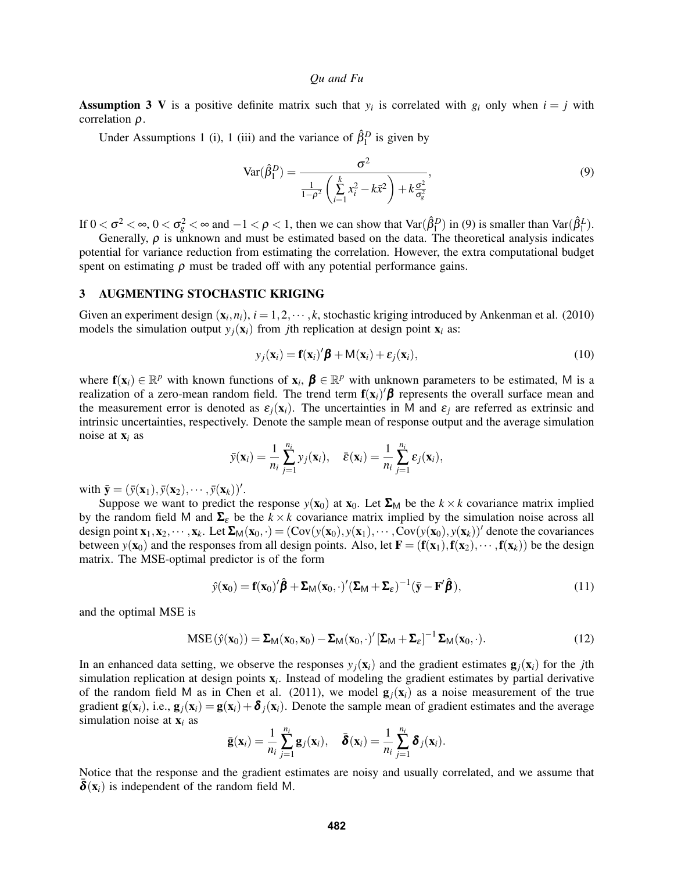**Assumption 3 V** is a positive definite matrix such that  $y_i$  is correlated with  $g_i$  only when  $i = j$  with correlation  $\rho$ .

Under Assumptions 1 (i), 1 (iii) and the variance of  $\hat{\beta}_1^D$  is given by

$$
\text{Var}(\hat{\beta}_1^D) = \frac{\sigma^2}{\frac{1}{1-\rho^2} \left(\sum\limits_{i=1}^k x_i^2 - k\bar{x}^2\right) + k\frac{\sigma^2}{\sigma_g^2}},\tag{9}
$$

If  $0 < \sigma^2 < \infty$ ,  $0 < \sigma_g^2 < \infty$  and  $-1 < \rho < 1$ , then we can show that  $\text{Var}(\hat{\beta}_1^D)$  in (9) is smaller than  $\text{Var}(\hat{\beta}_1^L)$ .

Generally,  $\rho$  is unknown and must be estimated based on the data. The theoretical analysis indicates potential for variance reduction from estimating the correlation. However, the extra computational budget spent on estimating  $\rho$  must be traded off with any potential performance gains.

### 3 AUGMENTING STOCHASTIC KRIGING

Given an experiment design  $(\mathbf{x}_i, n_i)$ ,  $i = 1, 2, \dots, k$ , stochastic kriging introduced by Ankenman et al. (2010) models the simulation output  $y_i(\mathbf{x}_i)$  from *j*th replication at design point  $\mathbf{x}_i$  as:

$$
y_j(\mathbf{x}_i) = \mathbf{f}(\mathbf{x}_i)' \boldsymbol{\beta} + \mathsf{M}(\mathbf{x}_i) + \varepsilon_j(\mathbf{x}_i),
$$
\n(10)

where  $f(x_i) \in \mathbb{R}^p$  with known functions of  $x_i, \beta \in \mathbb{R}^p$  with unknown parameters to be estimated, M is a realization of a zero-mean random field. The trend term  $f(x_i)$ <sup> $\beta$ </sup> represents the overall surface mean and the measurement error is denoted as  $\varepsilon_i(\mathbf{x}_i)$ . The uncertainties in M and  $\varepsilon_i$  are referred as extrinsic and intrinsic uncertainties, respectively. Denote the sample mean of response output and the average simulation noise at x*<sup>i</sup>* as

$$
\bar{y}(\mathbf{x}_i) = \frac{1}{n_i} \sum_{j=1}^{n_i} y_j(\mathbf{x}_i), \quad \bar{\varepsilon}(\mathbf{x}_i) = \frac{1}{n_i} \sum_{j=1}^{n_i} \varepsilon_j(\mathbf{x}_i),
$$

with  $\bar{\mathbf{y}} = (\bar{y}(\mathbf{x}_1), \bar{y}(\mathbf{x}_2), \cdots, \bar{y}(\mathbf{x}_k))'.$ 

Suppose we want to predict the response  $y(x_0)$  at  $x_0$ . Let  $\Sigma_M$  be the  $k \times k$  covariance matrix implied by the random field M and  $\Sigma_{\varepsilon}$  be the  $k \times k$  covariance matrix implied by the simulation noise across all design point  $\mathbf{x}_1, \mathbf{x}_2, \dots, \mathbf{x}_k$ . Let  $\mathbf{\Sigma}_{\mathsf{M}}(\mathbf{x}_0, \cdot) = (\mathbf{Cov}(\mathbf{y}(\mathbf{x}_0), \mathbf{y}(\mathbf{x}_1), \dots, \mathbf{Cov}(\mathbf{y}(\mathbf{x}_0), \mathbf{y}(\mathbf{x}_k)))'$  denote the covariances between  $y(x_0)$  and the responses from all design points. Also, let  $F = (f(x_1), f(x_2), \dots, f(x_k))$  be the design matrix. The MSE-optimal predictor is of the form

$$
\hat{y}(\mathbf{x}_0) = \mathbf{f}(\mathbf{x}_0)' \hat{\boldsymbol{\beta}} + \mathbf{\Sigma}_M (\mathbf{x}_0, \cdot)' (\mathbf{\Sigma}_M + \mathbf{\Sigma}_{\varepsilon})^{-1} (\bar{\mathbf{y}} - \mathbf{F}' \hat{\boldsymbol{\beta}}), \tag{11}
$$

and the optimal MSE is

$$
MSE(\hat{y}(\mathbf{x}_0)) = \Sigma_M(\mathbf{x}_0, \mathbf{x}_0) - \Sigma_M(\mathbf{x}_0, \cdot)' [\Sigma_M + \Sigma_{\varepsilon}]^{-1} \Sigma_M(\mathbf{x}_0, \cdot).
$$
 (12)

In an enhanced data setting, we observe the responses  $y_i(\mathbf{x}_i)$  and the gradient estimates  $\mathbf{g}_i(\mathbf{x}_i)$  for the *j*th simulation replication at design points x*<sup>i</sup>* . Instead of modeling the gradient estimates by partial derivative of the random field M as in Chen et al. (2011), we model  $g_i(x_i)$  as a noise measurement of the true gradient  $g(x_i)$ , i.e.,  $g_j(x_i) = g(x_i) + \delta_j(x_i)$ . Denote the sample mean of gradient estimates and the average simulation noise at x*<sup>i</sup>* as

$$
\bar{\mathbf{g}}(\mathbf{x}_i) = \frac{1}{n_i} \sum_{j=1}^{n_i} \mathbf{g}_j(\mathbf{x}_i), \quad \bar{\boldsymbol{\delta}}(\mathbf{x}_i) = \frac{1}{n_i} \sum_{j=1}^{n_i} \boldsymbol{\delta}_j(\mathbf{x}_i).
$$

Notice that the response and the gradient estimates are noisy and usually correlated, and we assume that  $\delta(\mathbf{x}_i)$  is independent of the random field M.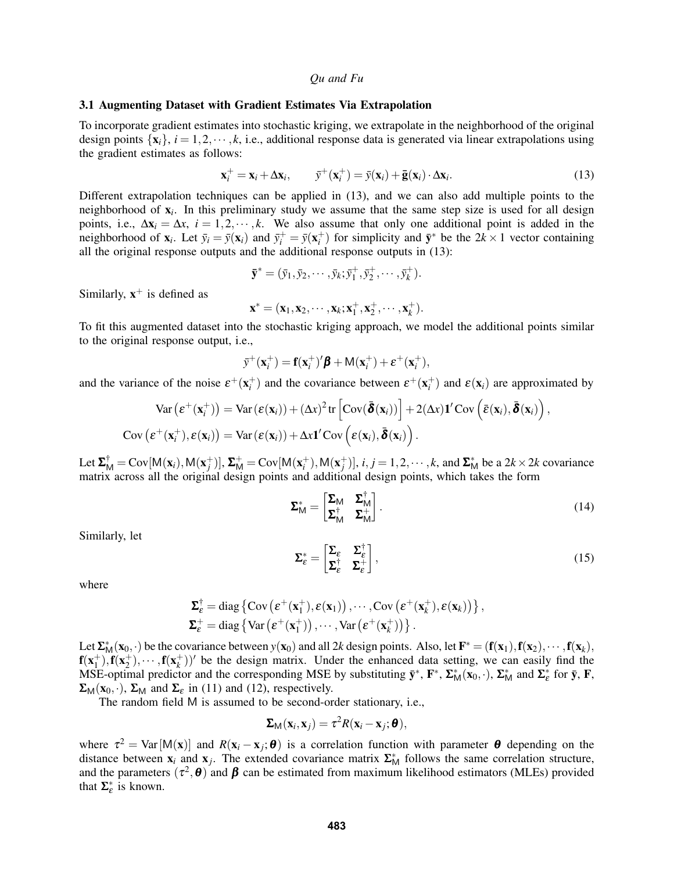#### 3.1 Augmenting Dataset with Gradient Estimates Via Extrapolation

To incorporate gradient estimates into stochastic kriging, we extrapolate in the neighborhood of the original design points  $\{x_i\}$ ,  $i = 1, 2, \dots, k$ , i.e., additional response data is generated via linear extrapolations using the gradient estimates as follows:

$$
\mathbf{x}_i^+ = \mathbf{x}_i + \Delta \mathbf{x}_i, \qquad \bar{\mathbf{y}}^+ (\mathbf{x}_i^+) = \bar{\mathbf{y}} (\mathbf{x}_i) + \bar{\mathbf{g}} (\mathbf{x}_i) \cdot \Delta \mathbf{x}_i. \tag{13}
$$

Different extrapolation techniques can be applied in (13), and we can also add multiple points to the neighborhood of x*<sup>i</sup>* . In this preliminary study we assume that the same step size is used for all design points, i.e.,  $\Delta x_i = \Delta x$ ,  $i = 1, 2, \dots, k$ . We also assume that only one additional point is added in the neighborhood of  $\mathbf{x}_i$ . Let  $\bar{y}_i = \bar{y}(\mathbf{x}_i)$  and  $\bar{y}_i^+ = \bar{y}(\mathbf{x}_i^+)$  for simplicity and  $\bar{y}^*$  be the  $2k \times 1$  vector containing all the original response outputs and the additional response outputs in (13):

$$
\mathbf{\bar{y}}^* = (\bar{y}_1, \bar{y}_2, \cdots, \bar{y}_k; \bar{y}_1^+, \bar{y}_2^+, \cdots, \bar{y}_k^+).
$$

Similarly,  $x^+$  is defined as

$$
\mathbf{x}^* = (\mathbf{x}_1, \mathbf{x}_2, \cdots, \mathbf{x}_k; \mathbf{x}_1^+, \mathbf{x}_2^+, \cdots, \mathbf{x}_k^+).
$$

To fit this augmented dataset into the stochastic kriging approach, we model the additional points similar to the original response output, i.e.,

$$
\bar{\mathbf{y}}^+(\mathbf{x}_i^+) = \mathbf{f}(\mathbf{x}_i^+)'\boldsymbol{\beta} + \mathsf{M}(\mathbf{x}_i^+) + \boldsymbol{\varepsilon}^+(\mathbf{x}_i^+),
$$

and the variance of the noise  $\varepsilon^+(x_i^+)$  and the covariance between  $\varepsilon^+(x_i^+)$  and  $\varepsilon(x_i)$  are approximated by

$$
\operatorname{Var}(\boldsymbol{\varepsilon}^+(\mathbf{x}_i^+)) = \operatorname{Var}(\boldsymbol{\varepsilon}(\mathbf{x}_i)) + (\Delta x)^2 \operatorname{tr} [\operatorname{Cov}(\bar{\boldsymbol{\delta}}(\mathbf{x}_i))] + 2(\Delta x) \mathbf{1}' \operatorname{Cov} (\bar{\boldsymbol{\varepsilon}}(\mathbf{x}_i), \bar{\boldsymbol{\delta}}(\mathbf{x}_i)),
$$
  
\n
$$
\operatorname{Cov}(\boldsymbol{\varepsilon}^+(\mathbf{x}_i^+), \boldsymbol{\varepsilon}(\mathbf{x}_i)) = \operatorname{Var}(\boldsymbol{\varepsilon}(\mathbf{x}_i)) + \Delta x \mathbf{1}' \operatorname{Cov} (\boldsymbol{\varepsilon}(\mathbf{x}_i), \bar{\boldsymbol{\delta}}(\mathbf{x}_i)).
$$

Let  $\Sigma_{\mathsf{M}}^{\dagger} = \text{Cov}[\mathsf{M}(\mathbf{x}_i), \mathsf{M}(\mathbf{x}_j^+)], \Sigma_{\mathsf{M}}^{\dagger} = \text{Cov}[\mathsf{M}(\mathbf{x}_i^+), \mathsf{M}(\mathbf{x}_j^+)], i, j = 1, 2, \cdots, k$ , and  $\Sigma_{\mathsf{M}}^*$  be a  $2k \times 2k$  covariance matrix across all the original design points and additional design points, which takes the form

$$
\Sigma_M^* = \begin{bmatrix} \Sigma_M & \Sigma_M^{\dagger} \\ \Sigma_M^{\dagger} & \Sigma_M^+ \end{bmatrix} . \tag{14}
$$

Similarly, let

$$
\Sigma_{\varepsilon}^{*} = \begin{bmatrix} \Sigma_{\varepsilon} & \Sigma_{\varepsilon}^{\dagger} \\ \Sigma_{\varepsilon}^{\dagger} & \Sigma_{\varepsilon}^{\dagger} \end{bmatrix},\tag{15}
$$

where

$$
\Sigma_{\varepsilon}^{\dagger} = \text{diag}\left\{ \text{Cov}\left(\varepsilon^{+}(\mathbf{x}_{1}^{+}), \varepsilon(\mathbf{x}_{1})\right), \cdots, \text{Cov}\left(\varepsilon^{+}(\mathbf{x}_{k}^{+}), \varepsilon(\mathbf{x}_{k})\right) \right\}, \Sigma_{\varepsilon}^{+} = \text{diag}\left\{ \text{Var}\left(\varepsilon^{+}(\mathbf{x}_{1}^{+})\right), \cdots, \text{Var}\left(\varepsilon^{+}(\mathbf{x}_{k}^{+})\right) \right\}.
$$

Let  $\Sigma_M^*(\mathbf{x}_0, \cdot)$  be the covariance between  $y(\mathbf{x}_0)$  and all 2*k* design points. Also, let  $\mathbf{F}^* = (\mathbf{f}(\mathbf{x}_1), \mathbf{f}(\mathbf{x}_2), \cdots, \mathbf{f}(\mathbf{x}_k)$ ,  $f(x_1^+), f(x_2^+), \dots, f(x_k^+)$  be the design matrix. Under the enhanced data setting, we can easily find the MSE-optimal predictor and the corresponding MSE by substituting  $\bar{y}^*, F^*, \Sigma_M^*(\bar{x}_0, \cdot), \Sigma_M^*$  and  $\Sigma_{\varepsilon}^*$  $_{\varepsilon}^*$  for  $\bar{y}$ , **F**,  $\Sigma_M(\mathbf{x}_0, \cdot)$ ,  $\Sigma_M$  and  $\Sigma_{\varepsilon}$  in (11) and (12), respectively.

The random field M is assumed to be second-order stationary, i.e.,

$$
\mathbf{\Sigma}_{\mathsf{M}}(\mathbf{x}_i,\mathbf{x}_j)=\tau^2R(\mathbf{x}_i-\mathbf{x}_j;\boldsymbol{\theta}),
$$

where  $\tau^2 = \text{Var}[M(\mathbf{x})]$  and  $R(\mathbf{x}_i - \mathbf{x}_j; \boldsymbol{\theta})$  is a correlation function with parameter  $\boldsymbol{\theta}$  depending on the distance between  $x_i$  and  $x_j$ . The extended covariance matrix  $\Sigma_M^*$  follows the same correlation structure, and the parameters  $(\tau^2, \theta)$  and  $\beta$  can be estimated from maximum likelihood estimators (MLEs) provided that  $\Sigma_{\varepsilon}^*$  $\frac{\epsilon}{\varepsilon}$  is known.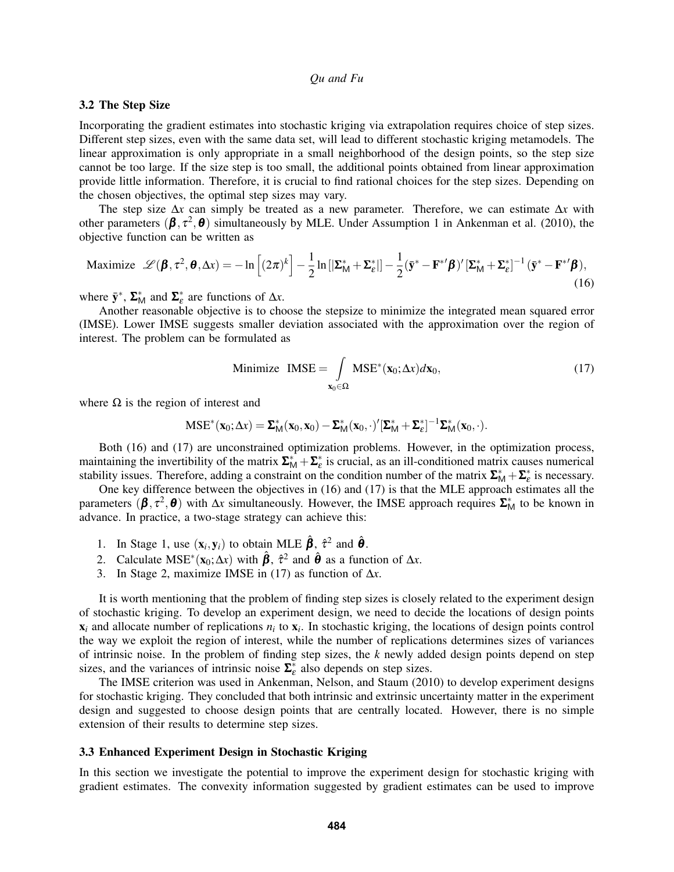## 3.2 The Step Size

Incorporating the gradient estimates into stochastic kriging via extrapolation requires choice of step sizes. Different step sizes, even with the same data set, will lead to different stochastic kriging metamodels. The linear approximation is only appropriate in a small neighborhood of the design points, so the step size cannot be too large. If the size step is too small, the additional points obtained from linear approximation provide little information. Therefore, it is crucial to find rational choices for the step sizes. Depending on the chosen objectives, the optimal step sizes may vary.

The step size ∆*x* can simply be treated as a new parameter. Therefore, we can estimate ∆*x* with other parameters  $(\beta, \tau^2, \theta)$  simultaneously by MLE. Under Assumption 1 in Ankenman et al. (2010), the objective function can be written as

Maximize 
$$
\mathscr{L}(\boldsymbol{\beta}, \tau^2, \boldsymbol{\theta}, \Delta x) = -\ln \left[ (2\pi)^k \right] - \frac{1}{2} \ln \left[ |\boldsymbol{\Sigma}_M^* + \boldsymbol{\Sigma}_{\varepsilon}^*| \right] - \frac{1}{2} (\bar{\mathbf{y}}^* - \mathbf{F}^{*'} \boldsymbol{\beta})' \left[ \boldsymbol{\Sigma}_M^* + \boldsymbol{\Sigma}_{\varepsilon}^* \right]^{-1} (\bar{\mathbf{y}}^* - \mathbf{F}^{*'} \boldsymbol{\beta}),
$$
\n  
\n(16)

where  $\bar{\mathbf{y}}^*$ ,  $\mathbf{\Sigma}_{\mathsf{M}}^*$  and  $\mathbf{\Sigma}_{\varepsilon}^*$  $\frac{k}{\varepsilon}$  are functions of  $\Delta x$ .

Another reasonable objective is to choose the stepsize to minimize the integrated mean squared error (IMSE). Lower IMSE suggests smaller deviation associated with the approximation over the region of interest. The problem can be formulated as

Minimize 
$$
\text{IMSE} = \int_{\mathbf{x}_0 \in \Omega} \text{MSE}^*(\mathbf{x}_0; \Delta x) d\mathbf{x}_0,
$$
 (17)

where  $\Omega$  is the region of interest and

$$
MSE^*(\mathbf{x}_0; \Delta x) = \Sigma_M^*(\mathbf{x}_0, \mathbf{x}_0) - \Sigma_M^*(\mathbf{x}_0, \cdot)'[\Sigma_M^* + \Sigma_{\epsilon}^*]^{-1} \Sigma_M^*(\mathbf{x}_0, \cdot).
$$

Both (16) and (17) are unconstrained optimization problems. However, in the optimization process, maintaining the invertibility of the matrix  $\sum_{M}^{*} + \sum_{\varepsilon}^{*}$  $\epsilon$  is crucial, as an ill-conditioned matrix causes numerical stability issues. Therefore, adding a constraint on the condition number of the matrix  $\Sigma_M^* + \Sigma_\varepsilon^*$  $\frac{\epsilon}{\epsilon}$  is necessary.

One key difference between the objectives in (16) and (17) is that the MLE approach estimates all the parameters  $(\beta, \tau^2, \theta)$  with  $\Delta x$  simultaneously. However, the IMSE approach requires  $\Sigma_M^*$  to be known in advance. In practice, a two-stage strategy can achieve this:

- 1. In Stage 1, use  $(\mathbf{x}_i, \mathbf{y}_i)$  to obtain MLE  $\hat{\boldsymbol{\beta}}$ ,  $\hat{\tau}^2$  and  $\hat{\boldsymbol{\theta}}$ .
- 2. Calculate MSE<sup>\*</sup>( $\mathbf{x}_0$ ; $\Delta x$ ) with  $\hat{\boldsymbol{\beta}}$ ,  $\hat{\tau}^2$  and  $\hat{\boldsymbol{\theta}}$  as a function of  $\Delta x$ .
- 3. In Stage 2, maximize IMSE in (17) as function of ∆*x*.

It is worth mentioning that the problem of finding step sizes is closely related to the experiment design of stochastic kriging. To develop an experiment design, we need to decide the locations of design points  $x_i$  and allocate number of replications  $n_i$  to  $x_i$ . In stochastic kriging, the locations of design points control the way we exploit the region of interest, while the number of replications determines sizes of variances of intrinsic noise. In the problem of finding step sizes, the *k* newly added design points depend on step sizes, and the variances of intrinsic noise  $\Sigma_{\varepsilon}^*$  $\frac{1}{\varepsilon}$  also depends on step sizes.

The IMSE criterion was used in Ankenman, Nelson, and Staum (2010) to develop experiment designs for stochastic kriging. They concluded that both intrinsic and extrinsic uncertainty matter in the experiment design and suggested to choose design points that are centrally located. However, there is no simple extension of their results to determine step sizes.

#### 3.3 Enhanced Experiment Design in Stochastic Kriging

In this section we investigate the potential to improve the experiment design for stochastic kriging with gradient estimates. The convexity information suggested by gradient estimates can be used to improve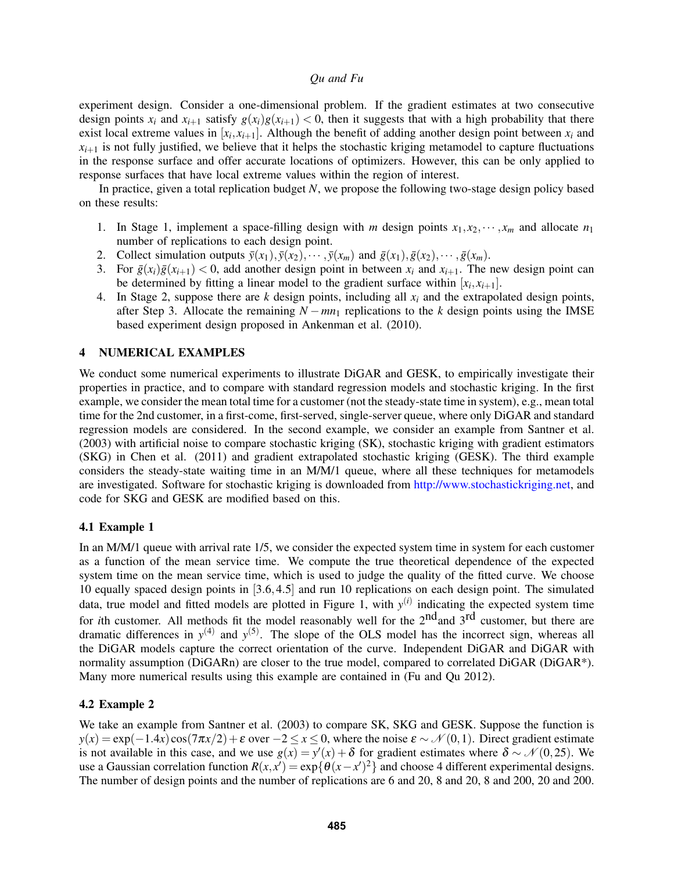experiment design. Consider a one-dimensional problem. If the gradient estimates at two consecutive design points  $x_i$  and  $x_{i+1}$  satisfy  $g(x_i)g(x_{i+1}) < 0$ , then it suggests that with a high probability that there exist local extreme values in  $[x_i, x_{i+1}]$ . Although the benefit of adding another design point between  $x_i$  and  $x_{i+1}$  is not fully justified, we believe that it helps the stochastic kriging metamodel to capture fluctuations in the response surface and offer accurate locations of optimizers. However, this can be only applied to response surfaces that have local extreme values within the region of interest.

In practice, given a total replication budget *N*, we propose the following two-stage design policy based on these results:

- 1. In Stage 1, implement a space-filling design with *m* design points  $x_1, x_2, \dots, x_m$  and allocate  $n_1$ number of replications to each design point.
- 2. Collect simulation outputs  $\bar{y}(x_1), \bar{y}(x_2), \cdots, \bar{y}(x_m)$  and  $\bar{g}(x_1), \bar{g}(x_2), \cdots, \bar{g}(x_m)$ .
- 3. For  $\bar{g}(x_i)\bar{g}(x_{i+1}) < 0$ , add another design point in between  $x_i$  and  $x_{i+1}$ . The new design point can be determined by fitting a linear model to the gradient surface within  $[x_i, x_{i+1}]$ .
- 4. In Stage 2, suppose there are  $k$  design points, including all  $x_i$  and the extrapolated design points, after Step 3. Allocate the remaining  $N - mn_1$  replications to the k design points using the IMSE based experiment design proposed in Ankenman et al. (2010).

## 4 NUMERICAL EXAMPLES

We conduct some numerical experiments to illustrate DiGAR and GESK, to empirically investigate their properties in practice, and to compare with standard regression models and stochastic kriging. In the first example, we consider the mean total time for a customer (not the steady-state time in system), e.g., mean total time for the 2nd customer, in a first-come, first-served, single-server queue, where only DiGAR and standard regression models are considered. In the second example, we consider an example from Santner et al. (2003) with artificial noise to compare stochastic kriging (SK), stochastic kriging with gradient estimators (SKG) in Chen et al. (2011) and gradient extrapolated stochastic kriging (GESK). The third example considers the steady-state waiting time in an M/M/1 queue, where all these techniques for metamodels are investigated. Software for stochastic kriging is downloaded from http://www.stochastickriging.net, and code for SKG and GESK are modified based on this.

## 4.1 Example 1

In an M/M/1 queue with arrival rate 1/5, we consider the expected system time in system for each customer as a function of the mean service time. We compute the true theoretical dependence of the expected system time on the mean service time, which is used to judge the quality of the fitted curve. We choose 10 equally spaced design points in [3.6,4.5] and run 10 replications on each design point. The simulated data, true model and fitted models are plotted in Figure 1, with *y* (*i*) indicating the expected system time for *i*th customer. All methods fit the model reasonably well for the 2<sup>nd</sup> and 3<sup>rd</sup> customer, but there are dramatic differences in  $y^{(4)}$  and  $y^{(5)}$ . The slope of the OLS model has the incorrect sign, whereas all the DiGAR models capture the correct orientation of the curve. Independent DiGAR and DiGAR with normality assumption (DiGARn) are closer to the true model, compared to correlated DiGAR (DiGAR\*). Many more numerical results using this example are contained in (Fu and Qu 2012).

#### 4.2 Example 2

We take an example from Santner et al. (2003) to compare SK, SKG and GESK. Suppose the function is  $y(x) = \exp(-1.4x)\cos(7\pi x/2) + \varepsilon$  over  $-2 \le x \le 0$ , where the noise  $\varepsilon \sim \mathcal{N}(0,1)$ . Direct gradient estimate is not available in this case, and we use  $g(x) = y'(x) + \delta$  for gradient estimates where  $\delta \sim \mathcal{N}(0, 25)$ . We use a Gaussian correlation function  $R(x, x') = \exp{\lbrace \theta(x - x')^2 \rbrace}$  and choose 4 different experimental designs. The number of design points and the number of replications are 6 and 20, 8 and 20, 8 and 200, 20 and 200.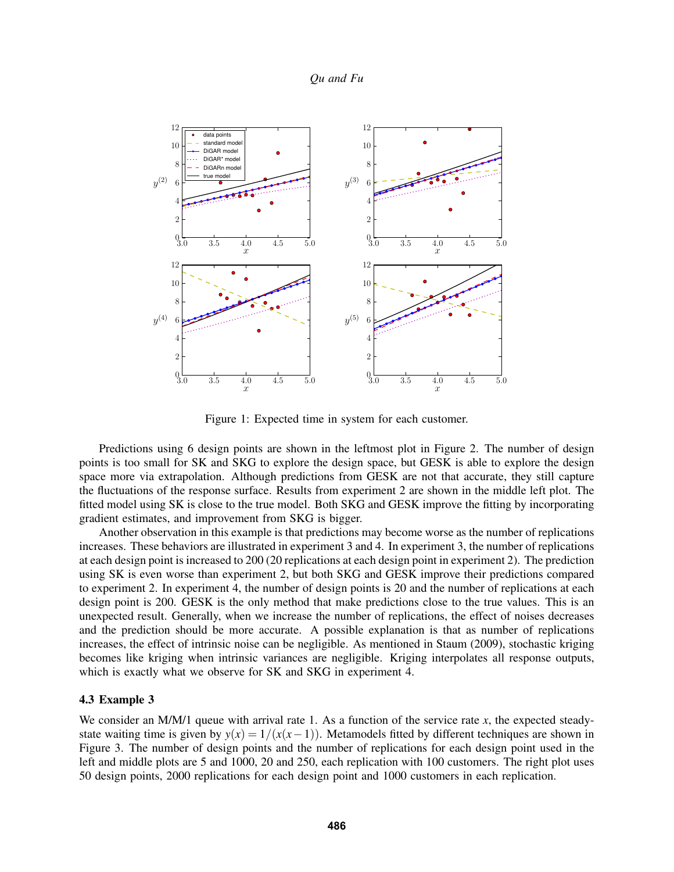

Figure 1: Expected time in system for each customer.

Predictions using 6 design points are shown in the leftmost plot in Figure 2. The number of design points is too small for SK and SKG to explore the design space, but GESK is able to explore the design space more via extrapolation. Although predictions from GESK are not that accurate, they still capture the fluctuations of the response surface. Results from experiment 2 are shown in the middle left plot. The fitted model using SK is close to the true model. Both SKG and GESK improve the fitting by incorporating gradient estimates, and improvement from SKG is bigger.

Another observation in this example is that predictions may become worse as the number of replications increases. These behaviors are illustrated in experiment 3 and 4. In experiment 3, the number of replications at each design point is increased to 200 (20 replications at each design point in experiment 2). The prediction using SK is even worse than experiment 2, but both SKG and GESK improve their predictions compared to experiment 2. In experiment 4, the number of design points is 20 and the number of replications at each design point is 200. GESK is the only method that make predictions close to the true values. This is an unexpected result. Generally, when we increase the number of replications, the effect of noises decreases and the prediction should be more accurate. A possible explanation is that as number of replications increases, the effect of intrinsic noise can be negligible. As mentioned in Staum (2009), stochastic kriging becomes like kriging when intrinsic variances are negligible. Kriging interpolates all response outputs, which is exactly what we observe for SK and SKG in experiment 4.

#### 4.3 Example 3

We consider an M/M/1 queue with arrival rate 1. As a function of the service rate x, the expected steadystate waiting time is given by  $y(x) = 1/(x(x-1))$ . Metamodels fitted by different techniques are shown in Figure 3. The number of design points and the number of replications for each design point used in the left and middle plots are 5 and 1000, 20 and 250, each replication with 100 customers. The right plot uses 50 design points, 2000 replications for each design point and 1000 customers in each replication.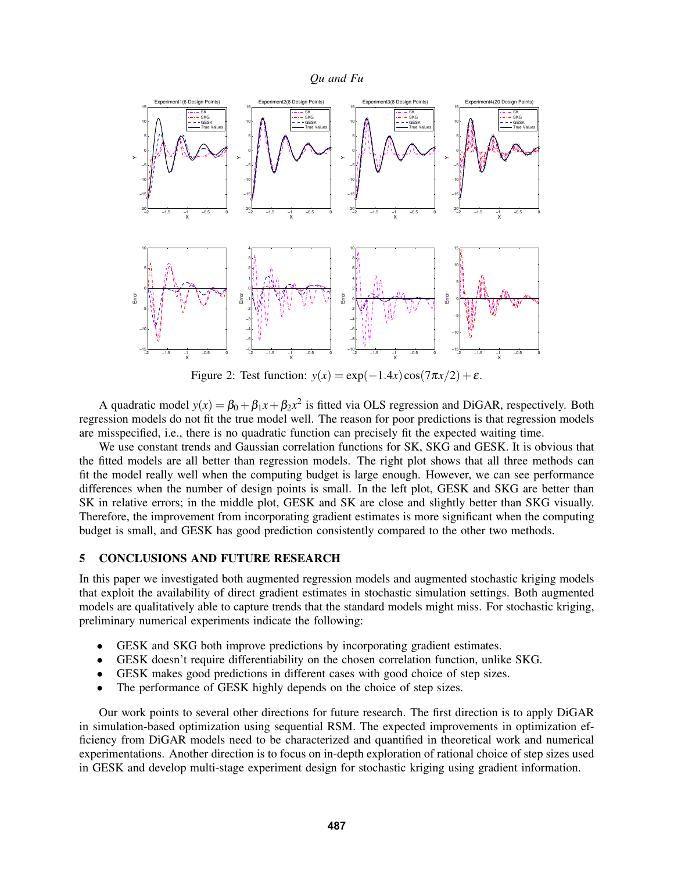

Figure 2: Test function:  $y(x) = \exp(-1.4x)\cos(7\pi x/2) + \varepsilon$ .

A quadratic model  $y(x) = \beta_0 + \beta_1 x + \beta_2 x^2$  is fitted via OLS regression and DiGAR, respectively. Both regression models do not fit the true model well. The reason for poor predictions is that regression models are misspecified, i.e., there is no quadratic function can precisely fit the expected waiting time.

We use constant trends and Gaussian correlation functions for SK, SKG and GESK. It is obvious that the fitted models are all better than regression models. The right plot shows that all three methods can fit the model really well when the computing budget is large enough. However, we can see performance differences when the number of design points is small. In the left plot, GESK and SKG are better than SK in relative errors; in the middle plot, GESK and SK are close and slightly better than SKG visually. Therefore, the improvement from incorporating gradient estimates is more significant when the computing budget is small, and GESK has good prediction consistently compared to the other two methods.

#### 5 CONCLUSIONS AND FUTURE RESEARCH

In this paper we investigated both augmented regression models and augmented stochastic kriging models that exploit the availability of direct gradient estimates in stochastic simulation settings. Both augmented models are qualitatively able to capture trends that the standard models might miss. For stochastic kriging, preliminary numerical experiments indicate the following:

- GESK and SKG both improve predictions by incorporating gradient estimates.
- GESK doesn't require differentiability on the chosen correlation function, unlike SKG.
- GESK makes good predictions in different cases with good choice of step sizes.
- The performance of GESK highly depends on the choice of step sizes.

Our work points to several other directions for future research. The first direction is to apply DiGAR in simulation-based optimization using sequential RSM. The expected improvements in optimization efficiency from DiGAR models need to be characterized and quantified in theoretical work and numerical experimentations. Another direction is to focus on in-depth exploration of rational choice of step sizes used in GESK and develop multi-stage experiment design for stochastic kriging using gradient information.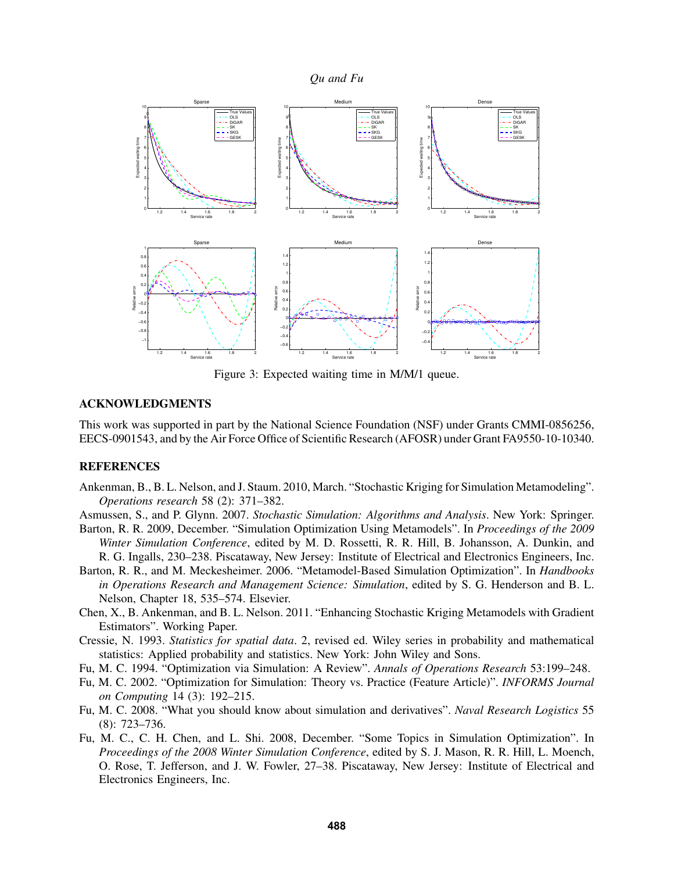



Figure 3: Expected waiting time in M/M/1 queue.

### ACKNOWLEDGMENTS

This work was supported in part by the National Science Foundation (NSF) under Grants CMMI-0856256, EECS-0901543, and by the Air Force Office of Scientific Research (AFOSR) under Grant FA9550-10-10340.

### REFERENCES

- Ankenman, B., B. L. Nelson, and J. Staum. 2010, March. "Stochastic Kriging for Simulation Metamodeling". *Operations research* 58 (2): 371–382.
- Asmussen, S., and P. Glynn. 2007. *Stochastic Simulation: Algorithms and Analysis*. New York: Springer.
- Barton, R. R. 2009, December. "Simulation Optimization Using Metamodels". In *Proceedings of the 2009 Winter Simulation Conference*, edited by M. D. Rossetti, R. R. Hill, B. Johansson, A. Dunkin, and R. G. Ingalls, 230–238. Piscataway, New Jersey: Institute of Electrical and Electronics Engineers, Inc.
- Barton, R. R., and M. Meckesheimer. 2006. "Metamodel-Based Simulation Optimization". In *Handbooks in Operations Research and Management Science: Simulation*, edited by S. G. Henderson and B. L. Nelson, Chapter 18, 535–574. Elsevier.
- Chen, X., B. Ankenman, and B. L. Nelson. 2011. "Enhancing Stochastic Kriging Metamodels with Gradient Estimators". Working Paper.
- Cressie, N. 1993. *Statistics for spatial data*. 2, revised ed. Wiley series in probability and mathematical statistics: Applied probability and statistics. New York: John Wiley and Sons.
- Fu, M. C. 1994. "Optimization via Simulation: A Review". *Annals of Operations Research* 53:199–248.
- Fu, M. C. 2002. "Optimization for Simulation: Theory vs. Practice (Feature Article)". *INFORMS Journal on Computing* 14 (3): 192–215.
- Fu, M. C. 2008. "What you should know about simulation and derivatives". *Naval Research Logistics* 55 (8): 723–736.
- Fu, M. C., C. H. Chen, and L. Shi. 2008, December. "Some Topics in Simulation Optimization". In *Proceedings of the 2008 Winter Simulation Conference*, edited by S. J. Mason, R. R. Hill, L. Moench, O. Rose, T. Jefferson, and J. W. Fowler, 27–38. Piscataway, New Jersey: Institute of Electrical and Electronics Engineers, Inc.